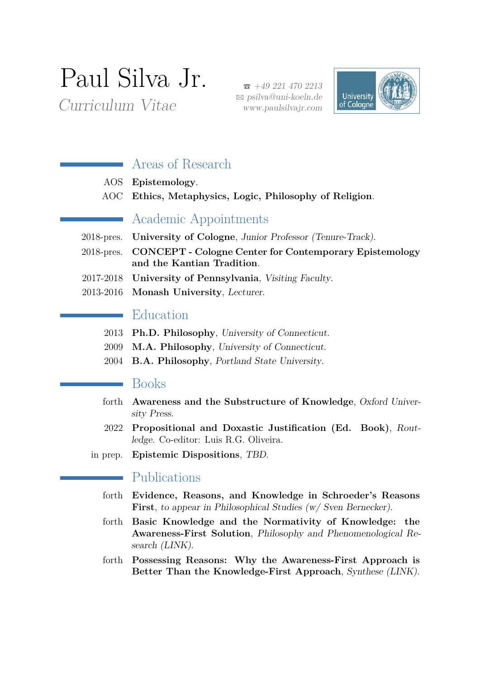# Paul Silva Jr.

Curriculum Vitae

 $\bullet$  +49 221 470 2213 B [psilva@uni-koeln.de](mailto:psilva@uni-koeln.de) www.paulsilvajr.com



## Areas of Research

- AOS **Epistemology**.
- AOC **Ethics, Metaphysics, Logic, Philosophy of Religion**.

## Academic Appointments

- 2018-pres. **University of Cologne**, Junior Professor (Tenure-Track).
- 2018-pres. **CONCEPT Cologne Center for Contemporary Epistemology and the Kantian Tradition**.
- 2017-2018 **University of Pennsylvania**, Visiting Faculty.
- 2013-2016 **Monash University**, Lecturer.

## Education

- 2013 **Ph.D. Philosophy**, University of Connecticut.
- 2009 **M.A. Philosophy**, University of Connecticut.
- 2004 **B.A. Philosophy**, Portland State University.

### Books

- forth **Awareness and the Substructure of Knowledge**, Oxford University Press.
- 2022 **Propositional and Doxastic Justification (Ed. Book)**, Routledge. Co-editor: Luis R.G. Oliveira.
- in prep. **Epistemic Dispositions**, TBD.

## Publications

- forth **Evidence, Reasons, and Knowledge in Schroeder's Reasons First**, to appear in Philosophical Studies (w/ Sven Bernecker).
- forth **Basic Knowledge and the Normativity of Knowledge: the Awareness-First Solution**, Philosophy and Phenomenological Research [\(LINK\)](https://philpeople.org/profiles/paul-silva-jr).
- forth **Possessing Reasons: Why the Awareness-First Approach is Better Than the Knowledge-First Approach**, Synthese [\(LINK\)](https://philpeople.org/profiles/paul-silva-jr).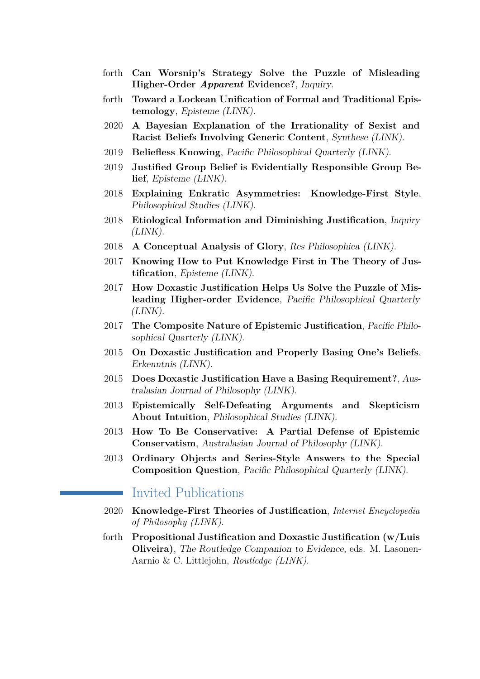- forth **Can Worsnip's Strategy Solve the Puzzle of Misleading Higher-Order** *Apparent* **Evidence?**, Inquiry.
- forth **Toward a Lockean Unification of Formal and Traditional Epistemology**, Episteme [\(LINK\)](https://philarchive.org/rec/SILMKA).
- 2020 **A Bayesian Explanation of the Irrationality of Sexist and Racist Beliefs Involving Generic Content**, Synthese [\(LINK\)](https://link.springer.com/article/10.1007/s11229-018-1813-9).
- 2019 **Beliefless Knowing**, Pacific Philosophical Quarterly [\(LINK\)](https://onlinelibrary.wiley.com/doi/full/10.1111/papq.12273).
- 2019 **Justified Group Belief is Evidentially Responsible Group Belief**, Episteme [\(LINK\)](https://www.cambridge.org/core/journals/episteme/article/justified-group-belief-is-evidentially-responsible-group-belief/59ADD1D373B2BD9FE947DDE95E043B0E).
- 2018 **Explaining Enkratic Asymmetries: Knowledge-First Style**, Philosophical Studies [\(LINK\)](https://link.springer.com/article/10.1007%2Fs11098-017-0987-1).
- 2018 **Etiological Information and Diminishing Justification**, Inquiry  $(LINK).$  $(LINK).$
- 2018 **A Conceptual Analysis of Glory**, Res Philosophica [\(LINK\)](https://philpapers.org/rec/JRACA).
- 2017 **Knowing How to Put Knowledge First in The Theory of Justification**, Episteme [\(LINK\)](https://www.cambridge.org/core/journals/episteme/article/knowing-how-to-put-knowledge-first-in-the-theory-of-justification/133255A5FA56C51E4CBBBAB176906F23).
- 2017 **How Doxastic Justification Helps Us Solve the Puzzle of Misleading Higher-order Evidence**, Pacific Philosophical Quarterly  $(LINK).$  $(LINK).$
- 2017 **The Composite Nature of Epistemic Justification**, Pacific Philosophical Quarterly [\(LINK\)](https://onlinelibrary.wiley.com/doi/abs/10.1111/papq.12085).
- 2015 **On Doxastic Justification and Properly Basing One's Beliefs**, Erkenntnis [\(LINK\)](https://link.springer.com/article/10.1007%2Fs10670-014-9690-1).
- 2015 **Does Doxastic Justification Have a Basing Requirement?**, Australasian Journal of Philosophy [\(LINK\)](https://www.tandfonline.com/doi/full/10.1080/00048402.2014.962553).
- 2013 **Epistemically Self-Defeating Arguments and Skepticism About Intuition**, Philosophical Studies [\(LINK\)](https://link.springer.com/article/10.1007%2Fs11098-012-9870-2).
- 2013 **How To Be Conservative: A Partial Defense of Epistemic Conservatism**, Australasian Journal of Philosophy [\(LINK\)](https://www.tandfonline.com/doi/full/10.1080/00048402.2012.751431).
- 2013 **Ordinary Objects and Series-Style Answers to the Special Composition Question**, Pacific Philosophical Quarterly [\(LINK\)](https://onlinelibrary.wiley.com/doi/full/10.1111/j.1468-0114.2012.01445.x).

### Invited Publications

- 2020 **Knowledge-First Theories of Justification**, *Internet Encyclopedia of Philosophy [\(LINK\)](https://philpapers.org/rec/SILKTO-2)*.
- forth **Propositional Justification and Doxastic Justification (w/Luis Oliveira)**, The Routledge Companion to Evidence, eds. M. Lasonen-Aarnio & C. Littlejohn, *Routledge [\(LINK\)](https://philarchive.org/rec/SILEJP)*.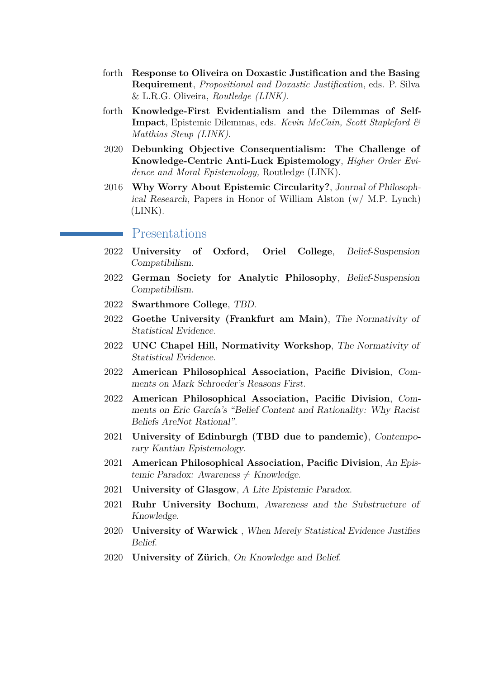- forth **Response to Oliveira on Doxastic Justification and the Basing Requirement**, *Propositional and Doxastic Justificatio*n, eds. P. Silva & L.R.G. Oliveira, *Routledge [\(LINK\)](https://philpapers.org/rec/SILRTO-2)*.
- forth **Knowledge-First Evidentialism and the Dilemmas of Self-Impact**, Epistemic Dilemmas, eds. *Kevin McCain, Scott Stapleford & Matthias Steup [\(LINK\)](https://philpapers.org/rec/SILKEA)*.
- 2020 **Debunking Objective Consequentialism: The Challenge of Knowledge-Centric Anti-Luck Epistemology**, *Higher Order Evidence and Moral Epistemology,* Routledge [\(LINK\).](https://philpapers.org/rec/SILDOC)
- 2016 **Why Worry About Epistemic Circularity?**, Journal of Philosophical Research, Papers in Honor of William Alston (w/ M.P. Lynch) [\(LINK\).](https://www.pdcnet.org/jpr/content/jpr_2016_0041Supplement_0033_0052)

#### Presentations

- 2022 **University of Oxford, Oriel College**, Belief-Suspension Compatibilism.
- 2022 **German Society for Analytic Philosophy**, Belief-Suspension Compatibilism.
- 2022 **Swarthmore College**, TBD.
- 2022 **Goethe University (Frankfurt am Main)**, The Normativity of Statistical Evidence.
- 2022 **UNC Chapel Hill, Normativity Workshop**, The Normativity of Statistical Evidence.
- 2022 **American Philosophical Association, Pacific Division**, Comments on Mark Schroeder's Reasons First.
- 2022 **American Philosophical Association, Pacific Division**, Comments on Eric García's "Belief Content and Rationality: Why Racist Beliefs AreNot Rational".
- 2021 **University of Edinburgh (TBD due to pandemic)**, Contemporary Kantian Epistemology.
- 2021 **American Philosophical Association, Pacific Division**, An Epistemic Paradox: Awareness  $\neq$  Knowledge.
- 2021 **University of Glasgow**, A Lite Epistemic Paradox.
- 2021 **Ruhr University Bochum**, Awareness and the Substructure of Knowledge.
- 2020 **University of Warwick** , When Merely Statistical Evidence Justifies Belief.
- 2020 **University of Zürich**, On Knowledge and Belief.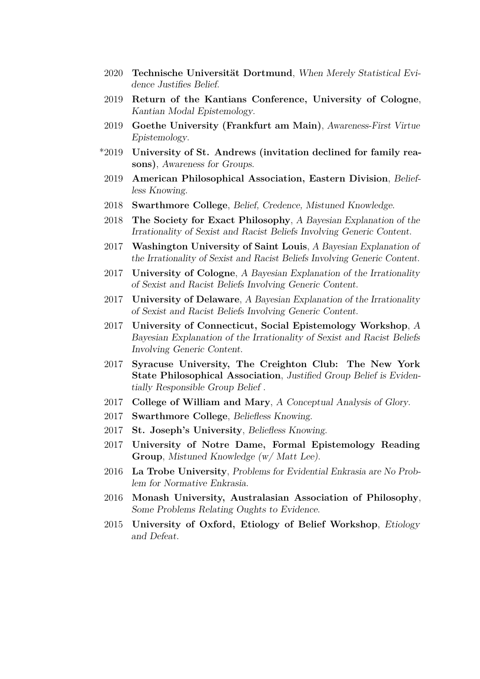- 2020 **Technische Universität Dortmund**, When Merely Statistical Evidence Justifies Belief.
- 2019 **Return of the Kantians Conference, University of Cologne**, Kantian Modal Epistemology.
- 2019 **Goethe University (Frankfurt am Main)**, Awareness-First Virtue Epistemology.
- \*2019 **University of St. Andrews (invitation declined for family reasons)**, Awareness for Groups.
- 2019 **American Philosophical Association, Eastern Division**, Beliefless Knowing.
- 2018 **Swarthmore College**, Belief, Credence, Mistuned Knowledge.
- 2018 **The Society for Exact Philosophy**, A Bayesian Explanation of the Irrationality of Sexist and Racist Beliefs Involving Generic Content.
- 2017 **Washington University of Saint Louis**, A Bayesian Explanation of the Irrationality of Sexist and Racist Beliefs Involving Generic Content.
- 2017 **University of Cologne**, A Bayesian Explanation of the Irrationality of Sexist and Racist Beliefs Involving Generic Content.
- 2017 **University of Delaware**, A Bayesian Explanation of the Irrationality of Sexist and Racist Beliefs Involving Generic Content.
- 2017 **University of Connecticut, Social Epistemology Workshop**, A Bayesian Explanation of the Irrationality of Sexist and Racist Beliefs Involving Generic Content.
- 2017 **Syracuse University, The Creighton Club: The New York State Philosophical Association**, Justified Group Belief is Evidentially Responsible Group Belief .
- 2017 **College of William and Mary**, A Conceptual Analysis of Glory.
- 2017 **Swarthmore College**, Beliefless Knowing.
- 2017 **St. Joseph's University**, Beliefless Knowing.
- 2017 **University of Notre Dame, Formal Epistemology Reading Group**, Mistuned Knowledge (w/ Matt Lee).
- 2016 **La Trobe University**, Problems for Evidential Enkrasia are No Problem for Normative Enkrasia.
- 2016 **Monash University, Australasian Association of Philosophy**, Some Problems Relating Oughts to Evidence.
- 2015 **University of Oxford, Etiology of Belief Workshop**, Etiology and Defeat.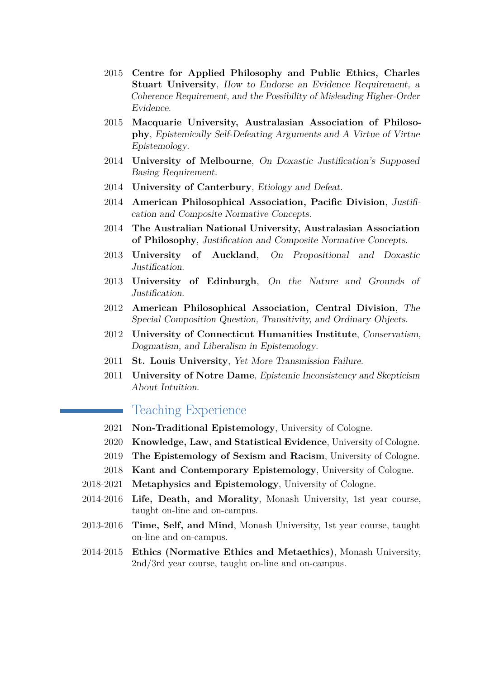- 2015 **Centre for Applied Philosophy and Public Ethics, Charles Stuart University**, How to Endorse an Evidence Requirement, a Coherence Requirement, and the Possibility of Misleading Higher-Order Evidence.
- 2015 **Macquarie University, Australasian Association of Philosophy**, Epistemically Self-Defeating Arguments and A Virtue of Virtue Epistemology.
- 2014 **University of Melbourne**, On Doxastic Justification's Supposed Basing Requirement.
- 2014 **University of Canterbury**, Etiology and Defeat.
- 2014 **American Philosophical Association, Pacific Division**, Justification and Composite Normative Concepts.
- 2014 **The Australian National University, Australasian Association of Philosophy**, Justification and Composite Normative Concepts.
- 2013 **University of Auckland**, On Propositional and Doxastic Justification.
- 2013 **University of Edinburgh**, On the Nature and Grounds of Justification.
- 2012 **American Philosophical Association, Central Division**, The Special Composition Question, Transitivity, and Ordinary Objects.
- 2012 **University of Connecticut Humanities Institute**, Conservatism, Dogmatism, and Liberalism in Epistemology.
- 2011 **St. Louis University**, Yet More Transmission Failure.
- 2011 **University of Notre Dame**, Epistemic Inconsistency and Skepticism About Intuition.

### Teaching Experience

- 2021 **Non-Traditional Epistemology**, University of Cologne.
- 2020 **Knowledge, Law, and Statistical Evidence**, University of Cologne.
- 2019 **The Epistemology of Sexism and Racism**, University of Cologne.
- 2018 **Kant and Contemporary Epistemology**, University of Cologne.
- 2018-2021 **Metaphysics and Epistemology**, University of Cologne.
- 2014-2016 **Life, Death, and Morality**, Monash University, 1st year course, taught on-line and on-campus.
- 2013-2016 **Time, Self, and Mind**, Monash University, 1st year course, taught on-line and on-campus.
- 2014-2015 **Ethics (Normative Ethics and Metaethics)**, Monash University, 2nd/3rd year course, taught on-line and on-campus.